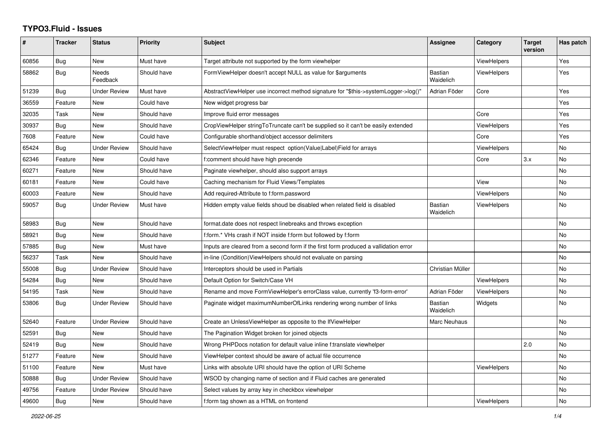## **TYPO3.Fluid - Issues**

| #     | <b>Tracker</b> | <b>Status</b>            | Priority    | Subject                                                                              | Assignee                    | Category           | <b>Target</b><br>version | Has patch |
|-------|----------------|--------------------------|-------------|--------------------------------------------------------------------------------------|-----------------------------|--------------------|--------------------------|-----------|
| 60856 | Bug            | New                      | Must have   | Target attribute not supported by the form viewhelper                                |                             | <b>ViewHelpers</b> |                          | Yes       |
| 58862 | Bug            | <b>Needs</b><br>Feedback | Should have | FormViewHelper doesn't accept NULL as value for \$arguments                          | <b>Bastian</b><br>Waidelich | <b>ViewHelpers</b> |                          | Yes       |
| 51239 | Bug            | <b>Under Review</b>      | Must have   | AbstractViewHelper use incorrect method signature for "\$this->systemLogger->log()"  | Adrian Föder                | Core               |                          | Yes       |
| 36559 | Feature        | <b>New</b>               | Could have  | New widget progress bar                                                              |                             |                    |                          | Yes       |
| 32035 | Task           | New                      | Should have | Improve fluid error messages                                                         |                             | Core               |                          | Yes       |
| 30937 | Bug            | New                      | Should have | CropViewHelper stringToTruncate can't be supplied so it can't be easily extended     |                             | <b>ViewHelpers</b> |                          | Yes       |
| 7608  | Feature        | New                      | Could have  | Configurable shorthand/object accessor delimiters                                    |                             | Core               |                          | Yes       |
| 65424 | Bug            | <b>Under Review</b>      | Should have | SelectViewHelper must respect option(Value Label)Field for arrays                    |                             | ViewHelpers        |                          | No        |
| 62346 | Feature        | <b>New</b>               | Could have  | f:comment should have high precende                                                  |                             | Core               | 3.x                      | <b>No</b> |
| 60271 | Feature        | New                      | Should have | Paginate viewhelper, should also support arrays                                      |                             |                    |                          | <b>No</b> |
| 60181 | Feature        | <b>New</b>               | Could have  | Caching mechanism for Fluid Views/Templates                                          |                             | View               |                          | No.       |
| 60003 | Feature        | <b>New</b>               | Should have | Add required-Attribute to f:form.password                                            |                             | <b>ViewHelpers</b> |                          | No        |
| 59057 | Bug            | <b>Under Review</b>      | Must have   | Hidden empty value fields shoud be disabled when related field is disabled           | <b>Bastian</b><br>Waidelich | ViewHelpers        |                          | <b>No</b> |
| 58983 | Bug            | New                      | Should have | format.date does not respect linebreaks and throws exception                         |                             |                    |                          | No        |
| 58921 | Bug            | New                      | Should have | f:form.* VHs crash if NOT inside f:form but followed by f:form                       |                             |                    |                          | No        |
| 57885 | <b>Bug</b>     | <b>New</b>               | Must have   | Inputs are cleared from a second form if the first form produced a vallidation error |                             |                    |                          | No        |
| 56237 | Task           | New                      | Should have | in-line (Condition) View Helpers should not evaluate on parsing                      |                             |                    |                          | <b>No</b> |
| 55008 | Bug            | Under Review             | Should have | Interceptors should be used in Partials                                              | Christian Müller            |                    |                          | No        |
| 54284 | Bug            | New                      | Should have | Default Option for Switch/Case VH                                                    |                             | <b>ViewHelpers</b> |                          | No        |
| 54195 | Task           | <b>New</b>               | Should have | Rename and move FormViewHelper's errorClass value, currently 'f3-form-error'         | Adrian Föder                | <b>ViewHelpers</b> |                          | No        |
| 53806 | Bug            | <b>Under Review</b>      | Should have | Paginate widget maximumNumberOfLinks rendering wrong number of links                 | <b>Bastian</b><br>Waidelich | Widgets            |                          | <b>No</b> |
| 52640 | Feature        | <b>Under Review</b>      | Should have | Create an UnlessViewHelper as opposite to the IfViewHelper                           | Marc Neuhaus                |                    |                          | <b>No</b> |
| 52591 | Bug            | New                      | Should have | The Pagination Widget broken for joined objects                                      |                             |                    |                          | <b>No</b> |
| 52419 | Bug            | New                      | Should have | Wrong PHPDocs notation for default value inline f:translate viewhelper               |                             |                    | 2.0                      | No        |
| 51277 | Feature        | New                      | Should have | ViewHelper context should be aware of actual file occurrence                         |                             |                    |                          | <b>No</b> |
| 51100 | Feature        | <b>New</b>               | Must have   | Links with absolute URI should have the option of URI Scheme                         |                             | ViewHelpers        |                          | <b>No</b> |
| 50888 | Bug            | Under Review             | Should have | WSOD by changing name of section and if Fluid caches are generated                   |                             |                    |                          | No        |
| 49756 | Feature        | <b>Under Review</b>      | Should have | Select values by array key in checkbox viewhelper                                    |                             |                    |                          | <b>No</b> |
| 49600 | <b>Bug</b>     | <b>New</b>               | Should have | f:form tag shown as a HTML on frontend                                               |                             | ViewHelpers        |                          | <b>No</b> |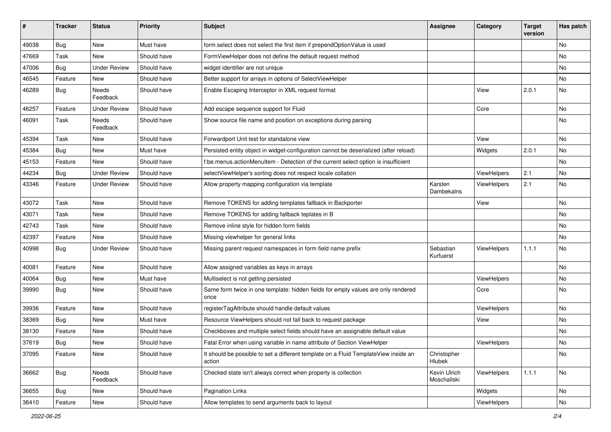| #     | <b>Tracker</b> | <b>Status</b>       | <b>Priority</b> | Subject                                                                                       | <b>Assignee</b>             | Category           | <b>Target</b><br>version | Has patch |
|-------|----------------|---------------------|-----------------|-----------------------------------------------------------------------------------------------|-----------------------------|--------------------|--------------------------|-----------|
| 49038 | Bug            | New                 | Must have       | form.select does not select the first item if prependOptionValue is used                      |                             |                    |                          | <b>No</b> |
| 47669 | Task           | New                 | Should have     | FormViewHelper does not define the default request method                                     |                             |                    |                          | No        |
| 47006 | Bug            | <b>Under Review</b> | Should have     | widget identifier are not unique                                                              |                             |                    |                          | No        |
| 46545 | Feature        | New                 | Should have     | Better support for arrays in options of SelectViewHelper                                      |                             |                    |                          | No        |
| 46289 | <b>Bug</b>     | Needs<br>Feedback   | Should have     | Enable Escaping Interceptor in XML request format                                             |                             | View               | 2.0.1                    | No        |
| 46257 | Feature        | <b>Under Review</b> | Should have     | Add escape sequence support for Fluid                                                         |                             | Core               |                          | No        |
| 46091 | Task           | Needs<br>Feedback   | Should have     | Show source file name and position on exceptions during parsing                               |                             |                    |                          | <b>No</b> |
| 45394 | Task           | New                 | Should have     | Forwardport Unit test for standalone view                                                     |                             | View               |                          | No        |
| 45384 | Bug            | New                 | Must have       | Persisted entity object in widget-configuration cannot be deserialized (after reload)         |                             | Widgets            | 2.0.1                    | No        |
| 45153 | Feature        | <b>New</b>          | Should have     | f:be.menus.actionMenuItem - Detection of the current select option is insufficient            |                             |                    |                          | No        |
| 44234 | Bug            | <b>Under Review</b> | Should have     | selectViewHelper's sorting does not respect locale collation                                  |                             | ViewHelpers        | 2.1                      | No        |
| 43346 | Feature        | <b>Under Review</b> | Should have     | Allow property mapping configuration via template                                             | Karsten<br>Dambekalns       | ViewHelpers        | 2.1                      | <b>No</b> |
| 43072 | Task           | New                 | Should have     | Remove TOKENS for adding templates fallback in Backporter                                     |                             | View               |                          | No        |
| 43071 | Task           | <b>New</b>          | Should have     | Remove TOKENS for adding fallback teplates in B                                               |                             |                    |                          | No        |
| 42743 | Task           | New                 | Should have     | Remove inline style for hidden form fields                                                    |                             |                    |                          | No        |
| 42397 | Feature        | New                 | Should have     | Missing viewhelper for general links                                                          |                             |                    |                          | No        |
| 40998 | Bug            | <b>Under Review</b> | Should have     | Missing parent request namespaces in form field name prefix                                   | Sebastian<br>Kurfuerst      | <b>ViewHelpers</b> | 1.1.1                    | No        |
| 40081 | Feature        | <b>New</b>          | Should have     | Allow assigned variables as keys in arrays                                                    |                             |                    |                          | <b>No</b> |
| 40064 | Bug            | New                 | Must have       | Multiselect is not getting persisted                                                          |                             | ViewHelpers        |                          | No        |
| 39990 | Bug            | New                 | Should have     | Same form twice in one template: hidden fields for empty values are only rendered<br>once     |                             | Core               |                          | No        |
| 39936 | Feature        | <b>New</b>          | Should have     | registerTagAttribute should handle default values                                             |                             | ViewHelpers        |                          | No        |
| 38369 | Bug            | New                 | Must have       | Resource ViewHelpers should not fall back to request package                                  |                             | View               |                          | No        |
| 38130 | Feature        | New                 | Should have     | Checkboxes and multiple select fields should have an assignable default value                 |                             |                    |                          | No        |
| 37619 | Bug            | New                 | Should have     | Fatal Error when using variable in name attribute of Section ViewHelper                       |                             | ViewHelpers        |                          | No        |
| 37095 | Feature        | New                 | Should have     | It should be possible to set a different template on a Fluid TemplateView inside an<br>action | Christopher<br>Hlubek       |                    |                          | No        |
| 36662 | Bug            | Needs<br>Feedback   | Should have     | Checked state isn't always correct when property is collection                                | Kevin Ulrich<br>Moschallski | ViewHelpers        | 1.1.1                    | No        |
| 36655 | Bug            | New                 | Should have     | Pagination Links                                                                              |                             | Widgets            |                          | No        |
| 36410 | Feature        | New                 | Should have     | Allow templates to send arguments back to layout                                              |                             | ViewHelpers        |                          | No        |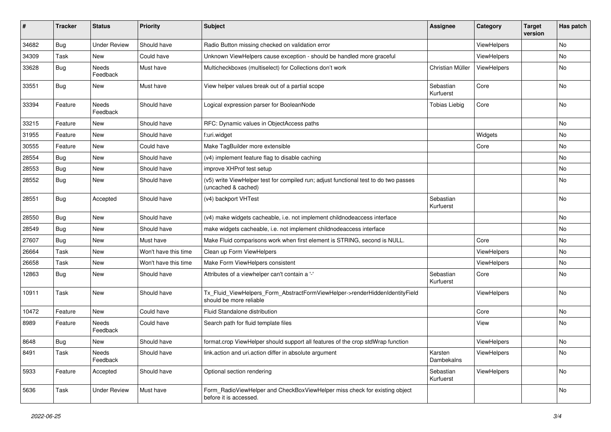| #     | <b>Tracker</b> | <b>Status</b>       | <b>Priority</b>      | <b>Subject</b>                                                                                              | <b>Assignee</b>        | Category    | <b>Target</b><br>version | Has patch |
|-------|----------------|---------------------|----------------------|-------------------------------------------------------------------------------------------------------------|------------------------|-------------|--------------------------|-----------|
| 34682 | Bug            | <b>Under Review</b> | Should have          | Radio Button missing checked on validation error                                                            |                        | ViewHelpers |                          | No        |
| 34309 | Task           | New                 | Could have           | Unknown ViewHelpers cause exception - should be handled more graceful                                       |                        | ViewHelpers |                          | No        |
| 33628 | Bug            | Needs<br>Feedback   | Must have            | Multicheckboxes (multiselect) for Collections don't work                                                    | Christian Müller       | ViewHelpers |                          | No        |
| 33551 | Bug            | New                 | Must have            | View helper values break out of a partial scope                                                             | Sebastian<br>Kurfuerst | Core        |                          | No        |
| 33394 | Feature        | Needs<br>Feedback   | Should have          | Logical expression parser for BooleanNode                                                                   | <b>Tobias Liebig</b>   | Core        |                          | No        |
| 33215 | Feature        | <b>New</b>          | Should have          | RFC: Dynamic values in ObjectAccess paths                                                                   |                        |             |                          | No        |
| 31955 | Feature        | New                 | Should have          | f:uri.widget                                                                                                |                        | Widgets     |                          | No        |
| 30555 | Feature        | New                 | Could have           | Make TagBuilder more extensible                                                                             |                        | Core        |                          | No        |
| 28554 | Bug            | New                 | Should have          | (v4) implement feature flag to disable caching                                                              |                        |             |                          | No        |
| 28553 | Bug            | New                 | Should have          | improve XHProf test setup                                                                                   |                        |             |                          | No        |
| 28552 | Bug            | New                 | Should have          | (v5) write ViewHelper test for compiled run; adjust functional test to do two passes<br>(uncached & cached) |                        |             |                          | No        |
| 28551 | Bug            | Accepted            | Should have          | (v4) backport VHTest                                                                                        | Sebastian<br>Kurfuerst |             |                          | No        |
| 28550 | Bug            | New                 | Should have          | (v4) make widgets cacheable, i.e. not implement childnodeaccess interface                                   |                        |             |                          | No        |
| 28549 | Bug            | New                 | Should have          | make widgets cacheable, i.e. not implement childnodeaccess interface                                        |                        |             |                          | No        |
| 27607 | Bug            | New                 | Must have            | Make Fluid comparisons work when first element is STRING, second is NULL.                                   |                        | Core        |                          | No        |
| 26664 | Task           | New                 | Won't have this time | Clean up Form ViewHelpers                                                                                   |                        | ViewHelpers |                          | No        |
| 26658 | Task           | New                 | Won't have this time | Make Form ViewHelpers consistent                                                                            |                        | ViewHelpers |                          | No        |
| 12863 | Bug            | New                 | Should have          | Attributes of a viewhelper can't contain a '-'                                                              | Sebastian<br>Kurfuerst | Core        |                          | No        |
| 10911 | Task           | New                 | Should have          | Tx_Fluid_ViewHelpers_Form_AbstractFormViewHelper->renderHiddenIdentityField<br>should be more reliable      |                        | ViewHelpers |                          | No        |
| 10472 | Feature        | New                 | Could have           | <b>Fluid Standalone distribution</b>                                                                        |                        | Core        |                          | No        |
| 8989  | Feature        | Needs<br>Feedback   | Could have           | Search path for fluid template files                                                                        |                        | View        |                          | No        |
| 8648  | Bug            | New                 | Should have          | format.crop ViewHelper should support all features of the crop stdWrap function                             |                        | ViewHelpers |                          | No        |
| 8491  | Task           | Needs<br>Feedback   | Should have          | link.action and uri.action differ in absolute argument                                                      | Karsten<br>Dambekalns  | ViewHelpers |                          | No        |
| 5933  | Feature        | Accepted            | Should have          | Optional section rendering                                                                                  | Sebastian<br>Kurfuerst | ViewHelpers |                          | No        |
| 5636  | Task           | <b>Under Review</b> | Must have            | Form_RadioViewHelper and CheckBoxViewHelper miss check for existing object<br>before it is accessed.        |                        |             |                          | No        |